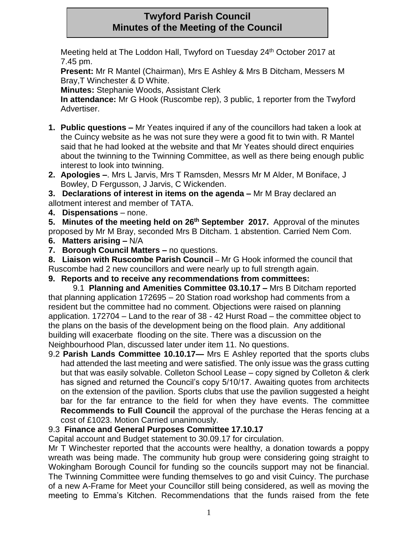# **Twyford Parish Council Minutes of the Meeting of the Council**

Meeting held at The Loddon Hall, Twyford on Tuesday 24<sup>th</sup> October 2017 at 7.45 pm.

**Present:** Mr R Mantel (Chairman), Mrs E Ashley & Mrs B Ditcham, Messers M Bray,T Winchester & D White.

**Minutes:** Stephanie Woods, Assistant Clerk

**In attendance:** Mr G Hook (Ruscombe rep), 3 public, 1 reporter from the Twyford Advertiser.

- **1. Public questions –** Mr Yeates inquired if any of the councillors had taken a look at the Cuincy website as he was not sure they were a good fit to twin with. R Mantel said that he had looked at the website and that Mr Yeates should direct enquiries about the twinning to the Twinning Committee, as well as there being enough public interest to look into twinning.
- **2. Apologies –**. Mrs L Jarvis, Mrs T Ramsden, Messrs Mr M Alder, M Boniface, J Bowley, D Fergusson, J Jarvis, C Wickenden.

**3. Declarations of interest in items on the agenda –** Mr M Bray declared an allotment interest and member of TATA.

**4. Dispensations** – none.

**5. Minutes of the meeting held on 26th September 2017.** Approval of the minutes proposed by Mr M Bray, seconded Mrs B Ditcham. 1 abstention. Carried Nem Com.

- **6. Matters arising –** N/A
- **7. Borough Council Matters –** no questions.

**8. Liaison with Ruscombe Parish Council –** Mr G Hook informed the council that Ruscombe had 2 new councillors and were nearly up to full strength again.

### **9. Reports and to receive any recommendations from committees:**

9.1 **Planning and Amenities Committee 03.10.17 –** Mrs B Ditcham reported that planning application 172695 – 20 Station road workshop had comments from a resident but the committee had no comment. Objections were raised on planning application. 172704 – Land to the rear of 38 - 42 Hurst Road – the committee object to the plans on the basis of the development being on the flood plain. Any additional building will exacerbate flooding on the site. There was a discussion on the Neighbourhood Plan, discussed later under item 11. No questions.

9.2 **Parish Lands Committee 10.10.17—** Mrs E Ashley reported that the sports clubs had attended the last meeting and were satisfied. The only issue was the grass cutting but that was easily solvable. Colleton School Lease – copy signed by Colleton & clerk has signed and returned the Council's copy 5/10/17. Awaiting quotes from architects on the extension of the pavilion. Sports clubs that use the pavilion suggested a height bar for the far entrance to the field for when they have events. The committee **Recommends to Full Council** the approval of the purchase the Heras fencing at a cost of £1023. Motion Carried unanimously.

# 9.3 **Finance and General Purposes Committee 17.10.17**

Capital account and Budget statement to 30.09.17 for circulation.

Mr T Winchester reported that the accounts were healthy, a donation towards a poppy wreath was being made. The community hub group were considering going straight to Wokingham Borough Council for funding so the councils support may not be financial. The Twinning Committee were funding themselves to go and visit Cuincy. The purchase of a new A-Frame for Meet your Councillor still being considered, as well as moving the meeting to Emma's Kitchen. Recommendations that the funds raised from the fete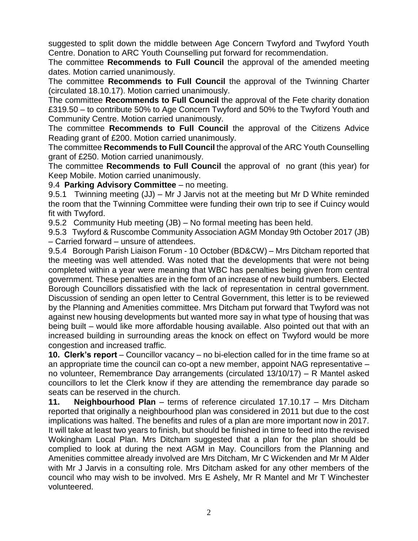suggested to split down the middle between Age Concern Twyford and Twyford Youth Centre. Donation to ARC Youth Counselling put forward for recommendation.

The committee **Recommends to Full Council** the approval of the amended meeting dates. Motion carried unanimously.

The committee **Recommends to Full Council** the approval of the Twinning Charter (circulated 18.10.17). Motion carried unanimously.

The committee **Recommends to Full Council** the approval of the Fete charity donation £319.50 – to contribute 50% to Age Concern Twyford and 50% to the Twyford Youth and Community Centre. Motion carried unanimously.

The committee **Recommends to Full Council** the approval of the Citizens Advice Reading grant of £200. Motion carried unanimously.

The committee **Recommends to Full Council** the approval of the ARC Youth Counselling grant of £250. Motion carried unanimously.

The committee **Recommends to Full Council** the approval of no grant (this year) for Keep Mobile. Motion carried unanimously.

9.4 **Parking Advisory Committee** – no meeting.

9.5.1 Twinning meeting (JJ) – Mr J Jarvis not at the meeting but Mr D White reminded the room that the Twinning Committee were funding their own trip to see if Cuincy would fit with Twyford.

9.5.2 Community Hub meeting (JB) – No formal meeting has been held.

9.5.3 Twyford & Ruscombe Community Association AGM Monday 9th October 2017 (JB) – Carried forward – unsure of attendees.

9.5.4 Borough Parish Liaison Forum - 10 October (BD&CW) – Mrs Ditcham reported that the meeting was well attended. Was noted that the developments that were not being completed within a year were meaning that WBC has penalties being given from central government. These penalties are in the form of an increase of new build numbers. Elected Borough Councillors dissatisfied with the lack of representation in central government. Discussion of sending an open letter to Central Government, this letter is to be reviewed by the Planning and Amenities committee. Mrs Ditcham put forward that Twyford was not against new housing developments but wanted more say in what type of housing that was being built – would like more affordable housing available. Also pointed out that with an increased building in surrounding areas the knock on effect on Twyford would be more congestion and increased traffic.

**10. Clerk's report** – Councillor vacancy – no bi-election called for in the time frame so at an appropriate time the council can co-opt a new member, appoint NAG representative – no volunteer, Remembrance Day arrangements (circulated 13/10/17) – R Mantel asked councillors to let the Clerk know if they are attending the remembrance day parade so seats can be reserved in the church.

**11. Neighbourhood Plan** – terms of reference circulated 17.10.17 – Mrs Ditcham reported that originally a neighbourhood plan was considered in 2011 but due to the cost implications was halted. The benefits and rules of a plan are more important now in 2017. It will take at least two years to finish, but should be finished in time to feed into the revised Wokingham Local Plan. Mrs Ditcham suggested that a plan for the plan should be complied to look at during the next AGM in May. Councillors from the Planning and Amenities committee already involved are Mrs Ditcham, Mr C Wickenden and Mr M Alder with Mr J Jarvis in a consulting role. Mrs Ditcham asked for any other members of the council who may wish to be involved. Mrs E Ashely, Mr R Mantel and Mr T Winchester volunteered.